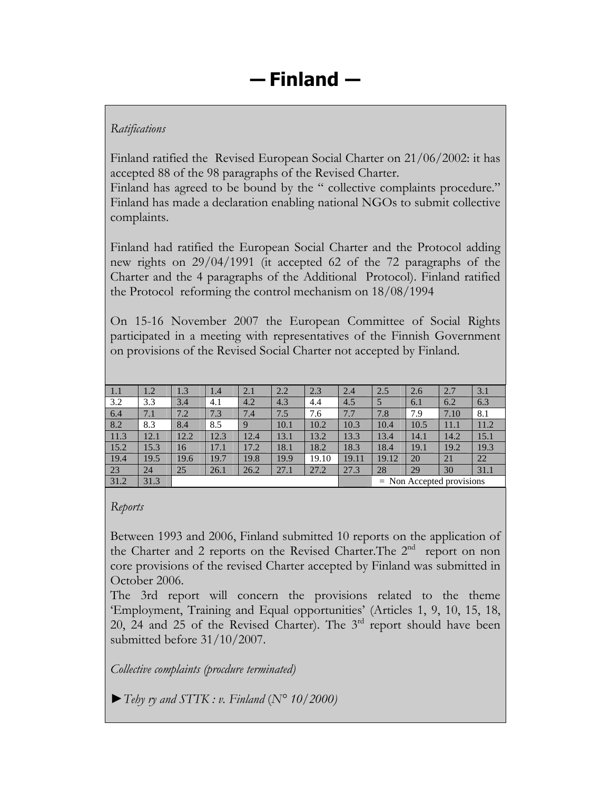## *Ratifications*

Finland ratified the Revised European Social Charter on 21/06/2002: it has accepted 88 of the 98 paragraphs of the Revised Charter.

Finland has agreed to be bound by the " collective complaints procedure." Finland has made a declaration enabling national NGOs to submit collective complaints.

Finland had ratified the European Social Charter and the Protocol adding new rights on 29/04/1991 (it accepted 62 of the 72 paragraphs of the Charter and the 4 paragraphs of the Additional Protocol). Finland ratified the Protocol reforming the control mechanism on 18/08/1994

On 15-16 November 2007 the European Committee of Social Rights participated in a meeting with representatives of the Finnish Government on provisions of the Revised Social Charter not accepted by Finland.

| 1.1  | 1.2  | 1.3  | 1.4  | 2.1  | 2.2  | 2.3   | 2.4   | 2.5                         | 2.6  | 2.7  | 3.1  |
|------|------|------|------|------|------|-------|-------|-----------------------------|------|------|------|
| 3.2  | 3.3  | 3.4  | 4.1  | 4.2  | 4.3  | 4.4   | 4.5   | 5                           | 6.1  | 6.2  | 6.3  |
| 6.4  | 7.1  | 7.2  | 7.3  | 7.4  | 7.5  | 7.6   | 7.7   | 7.8                         | 7.9  | 7.10 | 8.1  |
| 8.2  | 8.3  | 8.4  | 8.5  | 9    | 10.1 | 10.2  | 10.3  | 10.4                        | 10.5 | 11.1 | 11.2 |
| 11.3 | 12.1 | 12.2 | 12.3 | 12.4 | 13.1 | 13.2  | 13.3  | 13.4                        | 14.1 | 14.2 | 15.1 |
| 15.2 | 15.3 | 16   | 17.1 | 17.2 | 18.1 | 18.2  | 18.3  | 18.4                        | 19.1 | 19.2 | 19.3 |
| 19.4 | 19.5 | 19.6 | 19.7 | 19.8 | 19.9 | 19.10 | 19.11 | 19.12                       | 20   | 21   | 22   |
| 23   | 24   | 25   | 26.1 | 26.2 | 27.1 | 27.2  | 27.3  | 28                          | 29   | 30   | 31.1 |
| 31.2 | 31.3 |      |      |      |      |       |       | $=$ Non Accepted provisions |      |      |      |

### *Reports*

Between 1993 and 2006, Finland submitted 10 reports on the application of the Charter and 2 reports on the Revised Charter. The  $2<sup>nd</sup>$  report on non core provisions of the revised Charter accepted by Finland was submitted in October 2006.

The 3rd report will concern the provisions related to the theme 'Employment, Training and Equal opportunities' (Articles 1, 9, 10, 15, 18, 20, 24 and 25 of the Revised Charter). The  $3<sup>rd</sup>$  report should have been submitted before 31/10/2007.

*Collective complaints (procdure terminated)* 

►*Tehy ry and STTK : v. Finland* (*N° 10/2000)*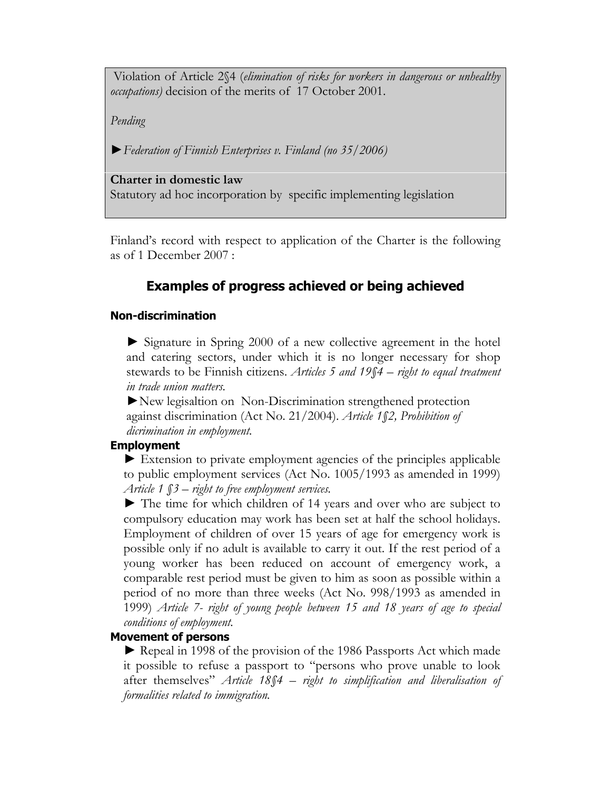Violation of Article 2§4 (*elimination of risks for workers in dangerous or unhealthy occupations)* decision of the merits of 17 October 2001.

*Pending* 

►*Federation of Finnish Enterprises v. Finland (no 35/2006)* 

**Charter in domestic law** 

Statutory ad hoc incorporation by specific implementing legislation

Finland's record with respect to application of the Charter is the following as of 1 December 2007 :

# **Examples of progress achieved or being achieved**

### **Non-discrimination**

► Signature in Spring 2000 of a new collective agreement in the hotel and catering sectors, under which it is no longer necessary for shop stewards to be Finnish citizens. *Articles 5 and 19§4 – right to equal treatment in trade union matters.* 

►New legisaltion on Non-Discrimination strengthened protection against discrimination (Act No. 21/2004). *Article 1§2, Prohibition of dicrimination in employment.* 

### **Employment**

► Extension to private employment agencies of the principles applicable to public employment services (Act No. 1005/1993 as amended in 1999) *Article 1 §3 – right to free employment services.*

► The time for which children of 14 years and over who are subject to compulsory education may work has been set at half the school holidays. Employment of children of over 15 years of age for emergency work is possible only if no adult is available to carry it out. If the rest period of a young worker has been reduced on account of emergency work, a comparable rest period must be given to him as soon as possible within a period of no more than three weeks (Act No. 998/1993 as amended in 1999) *Article 7- right of young people between 15 and 18 years of age to special conditions of employment.*

### **Movement of persons**

**►** Repeal in 1998 of the provision of the 1986 Passports Act which made it possible to refuse a passport to "persons who prove unable to look after themselves" *Article 18§4 – right to simplification and liberalisation of formalities related to immigration.*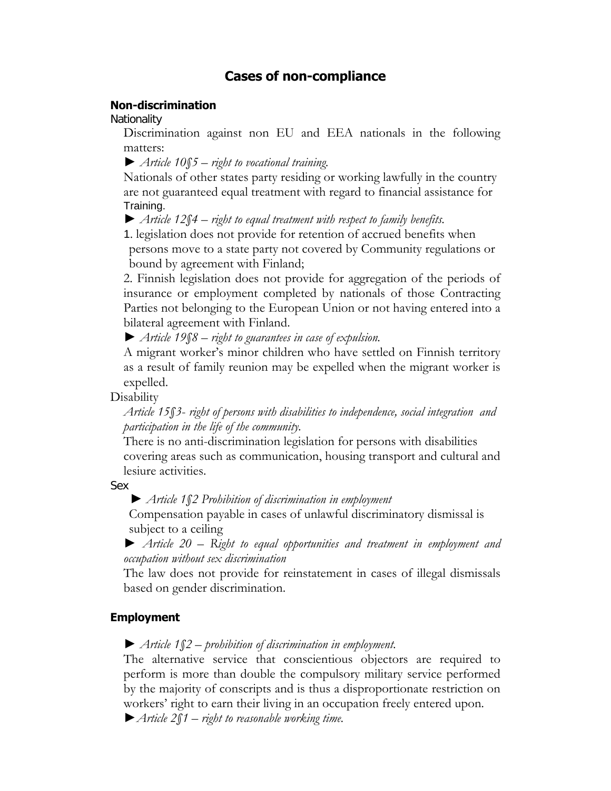## **Cases of non-compliance**

#### **Non-discrimination**

**Nationality** 

Discrimination against non EU and EEA nationals in the following matters:

► *Article 10§5 – right to vocational training.*

Nationals of other states party residing or working lawfully in the country are not guaranteed equal treatment with regard to financial assistance for Training.

► *Article 12§4 – right to equal treatment with respect to family benefits.*

1. legislation does not provide for retention of accrued benefits when persons move to a state party not covered by Community regulations or bound by agreement with Finland;

2. Finnish legislation does not provide for aggregation of the periods of insurance or employment completed by nationals of those Contracting Parties not belonging to the European Union or not having entered into a bilateral agreement with Finland.

► *Article 19§8 – right to guarantees in case of expulsion.* 

A migrant worker's minor children who have settled on Finnish territory as a result of family reunion may be expelled when the migrant worker is expelled.

**Disability** 

*Article 15§3*- *right of persons with disabilities to independence, social integration and participation in the life of the community.* 

There is no anti-discrimination legislation for persons with disabilities covering areas such as communication, housing transport and cultural and lesiure activities.

Sex

 *► Article 1§2 Prohibition of discrimination in employment* 

Compensation payable in cases of unlawful discriminatory dismissal is subject to a ceiling

*► Article 20 – Right to equal opportunities and treatment in employment and occupation without sex discrimination* 

The law does not provide for reinstatement in cases of illegal dismissals based on gender discrimination.

#### **Employment**

► *Article 1§2 – prohibition of discrimination in employment.* 

The alternative service that conscientious objectors are required to perform is more than double the compulsory military service performed by the majority of conscripts and is thus a disproportionate restriction on workers' right to earn their living in an occupation freely entered upon.

►*Article 2§1 – right to reasonable working time.*